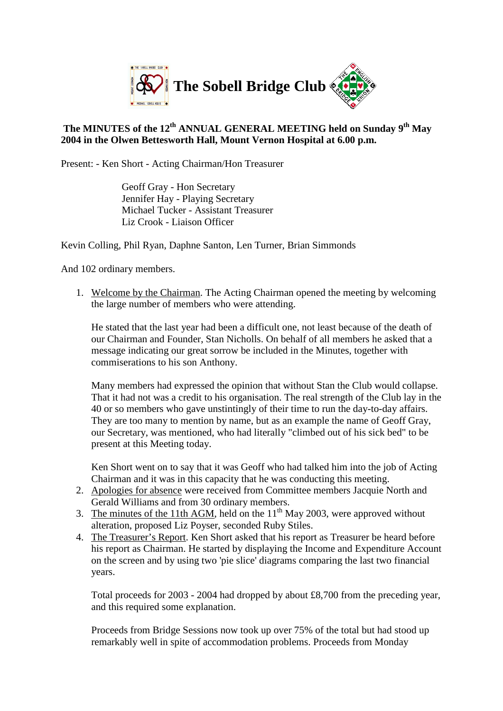

## **The MINUTES of the 12th ANNUAL GENERAL MEETING held on Sunday 9th May 2004 in the Olwen Bettesworth Hall, Mount Vernon Hospital at 6.00 p.m.**

Present: - Ken Short - Acting Chairman/Hon Treasurer

Geoff Gray - Hon Secretary Jennifer Hay - Playing Secretary Michael Tucker - Assistant Treasurer Liz Crook - Liaison Officer

Kevin Colling, Phil Ryan, Daphne Santon, Len Turner, Brian Simmonds

And 102 ordinary members.

1. Welcome by the Chairman. The Acting Chairman opened the meeting by welcoming the large number of members who were attending.

He stated that the last year had been a difficult one, not least because of the death of our Chairman and Founder, Stan Nicholls. On behalf of all members he asked that a message indicating our great sorrow be included in the Minutes, together with commiserations to his son Anthony.

Many members had expressed the opinion that without Stan the Club would collapse. That it had not was a credit to his organisation. The real strength of the Club lay in the 40 or so members who gave unstintingly of their time to run the day-to-day affairs. They are too many to mention by name, but as an example the name of Geoff Gray, our Secretary, was mentioned, who had literally "climbed out of his sick bed" to be present at this Meeting today.

Ken Short went on to say that it was Geoff who had talked him into the job of Acting Chairman and it was in this capacity that he was conducting this meeting.

- 2. Apologies for absence were received from Committee members Jacquie North and Gerald Williams and from 30 ordinary members.
- 3. The minutes of the 11th AGM, held on the  $11<sup>th</sup>$  May 2003, were approved without alteration, proposed Liz Poyser, seconded Ruby Stiles.
- 4. The Treasurer's Report. Ken Short asked that his report as Treasurer be heard before his report as Chairman. He started by displaying the Income and Expenditure Account on the screen and by using two 'pie slice' diagrams comparing the last two financial years.

Total proceeds for 2003 - 2004 had dropped by about £8,700 from the preceding year, and this required some explanation.

Proceeds from Bridge Sessions now took up over 75% of the total but had stood up remarkably well in spite of accommodation problems. Proceeds from Monday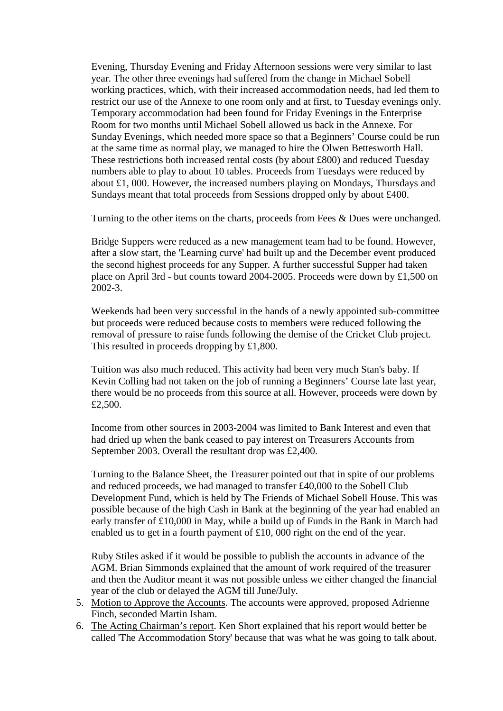Evening, Thursday Evening and Friday Afternoon sessions were very similar to last year. The other three evenings had suffered from the change in Michael Sobell working practices, which, with their increased accommodation needs, had led them to restrict our use of the Annexe to one room only and at first, to Tuesday evenings only. Temporary accommodation had been found for Friday Evenings in the Enterprise Room for two months until Michael Sobell allowed us back in the Annexe. For Sunday Evenings, which needed more space so that a Beginners' Course could be run at the same time as normal play, we managed to hire the Olwen Bettesworth Hall. These restrictions both increased rental costs (by about £800) and reduced Tuesday numbers able to play to about 10 tables. Proceeds from Tuesdays were reduced by about £1, 000. However, the increased numbers playing on Mondays, Thursdays and Sundays meant that total proceeds from Sessions dropped only by about £400.

Turning to the other items on the charts, proceeds from Fees & Dues were unchanged.

Bridge Suppers were reduced as a new management team had to be found. However, after a slow start, the 'Learning curve' had built up and the December event produced the second highest proceeds for any Supper. A further successful Supper had taken place on April 3rd - but counts toward 2004-2005. Proceeds were down by £1,500 on 2002-3.

Weekends had been very successful in the hands of a newly appointed sub-committee but proceeds were reduced because costs to members were reduced following the removal of pressure to raise funds following the demise of the Cricket Club project. This resulted in proceeds dropping by £1,800.

Tuition was also much reduced. This activity had been very much Stan's baby. If Kevin Colling had not taken on the job of running a Beginners' Course late last year, there would be no proceeds from this source at all. However, proceeds were down by £2,500.

Income from other sources in 2003-2004 was limited to Bank Interest and even that had dried up when the bank ceased to pay interest on Treasurers Accounts from September 2003. Overall the resultant drop was £2,400.

Turning to the Balance Sheet, the Treasurer pointed out that in spite of our problems and reduced proceeds, we had managed to transfer £40,000 to the Sobell Club Development Fund, which is held by The Friends of Michael Sobell House. This was possible because of the high Cash in Bank at the beginning of the year had enabled an early transfer of £10,000 in May, while a build up of Funds in the Bank in March had enabled us to get in a fourth payment of £10, 000 right on the end of the year.

Ruby Stiles asked if it would be possible to publish the accounts in advance of the AGM. Brian Simmonds explained that the amount of work required of the treasurer and then the Auditor meant it was not possible unless we either changed the financial year of the club or delayed the AGM till June/July.

- 5. Motion to Approve the Accounts. The accounts were approved, proposed Adrienne Finch, seconded Martin Isham.
- 6. The Acting Chairman's report. Ken Short explained that his report would better be called 'The Accommodation Story' because that was what he was going to talk about.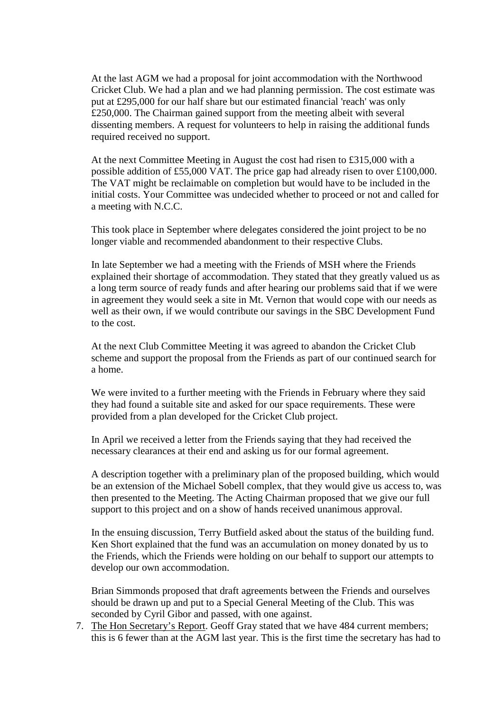At the last AGM we had a proposal for joint accommodation with the Northwood Cricket Club. We had a plan and we had planning permission. The cost estimate was put at £295,000 for our half share but our estimated financial 'reach' was only £250,000. The Chairman gained support from the meeting albeit with several dissenting members. A request for volunteers to help in raising the additional funds required received no support.

At the next Committee Meeting in August the cost had risen to £315,000 with a possible addition of £55,000 VAT. The price gap had already risen to over £100,000. The VAT might be reclaimable on completion but would have to be included in the initial costs. Your Committee was undecided whether to proceed or not and called for a meeting with N.C.C.

This took place in September where delegates considered the joint project to be no longer viable and recommended abandonment to their respective Clubs.

In late September we had a meeting with the Friends of MSH where the Friends explained their shortage of accommodation. They stated that they greatly valued us as a long term source of ready funds and after hearing our problems said that if we were in agreement they would seek a site in Mt. Vernon that would cope with our needs as well as their own, if we would contribute our savings in the SBC Development Fund to the cost.

At the next Club Committee Meeting it was agreed to abandon the Cricket Club scheme and support the proposal from the Friends as part of our continued search for a home.

We were invited to a further meeting with the Friends in February where they said they had found a suitable site and asked for our space requirements. These were provided from a plan developed for the Cricket Club project.

In April we received a letter from the Friends saying that they had received the necessary clearances at their end and asking us for our formal agreement.

A description together with a preliminary plan of the proposed building, which would be an extension of the Michael Sobell complex, that they would give us access to, was then presented to the Meeting. The Acting Chairman proposed that we give our full support to this project and on a show of hands received unanimous approval.

In the ensuing discussion, Terry Butfield asked about the status of the building fund. Ken Short explained that the fund was an accumulation on money donated by us to the Friends, which the Friends were holding on our behalf to support our attempts to develop our own accommodation.

Brian Simmonds proposed that draft agreements between the Friends and ourselves should be drawn up and put to a Special General Meeting of the Club. This was seconded by Cyril Gibor and passed, with one against.

7. The Hon Secretary's Report. Geoff Gray stated that we have 484 current members; this is 6 fewer than at the AGM last year. This is the first time the secretary has had to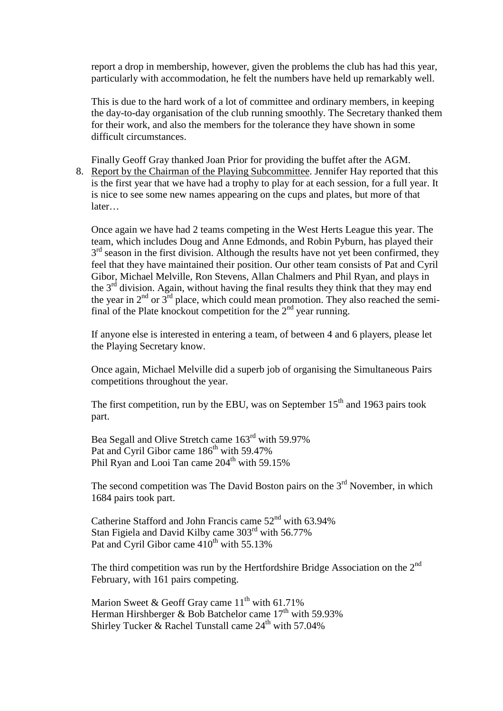report a drop in membership, however, given the problems the club has had this year, particularly with accommodation, he felt the numbers have held up remarkably well.

This is due to the hard work of a lot of committee and ordinary members, in keeping the day-to-day organisation of the club running smoothly. The Secretary thanked them for their work, and also the members for the tolerance they have shown in some difficult circumstances.

Finally Geoff Gray thanked Joan Prior for providing the buffet after the AGM.

8. Report by the Chairman of the Playing Subcommittee. Jennifer Hay reported that this is the first year that we have had a trophy to play for at each session, for a full year. It is nice to see some new names appearing on the cups and plates, but more of that later…

Once again we have had 2 teams competing in the West Herts League this year. The team, which includes Doug and Anne Edmonds, and Robin Pyburn, has played their  $3<sup>rd</sup>$  season in the first division. Although the results have not yet been confirmed, they feel that they have maintained their position. Our other team consists of Pat and Cyril Gibor, Michael Melville, Ron Stevens, Allan Chalmers and Phil Ryan, and plays in the  $3<sup>rd</sup>$  division. Again, without having the final results they think that they may end the year in  $2^{nd}$  or  $3^{rd}$  place, which could mean promotion. They also reached the semifinal of the Plate knockout competition for the  $2<sup>nd</sup>$  year running.

If anyone else is interested in entering a team, of between 4 and 6 players, please let the Playing Secretary know.

Once again, Michael Melville did a superb job of organising the Simultaneous Pairs competitions throughout the year.

The first competition, run by the EBU, was on September  $15<sup>th</sup>$  and 1963 pairs took part.

Bea Segall and Olive Stretch came 163rd with 59.97% Pat and Cyril Gibor came 186<sup>th</sup> with 59.47% Phil Ryan and Looi Tan came  $204<sup>th</sup>$  with 59.15%

The second competition was The David Boston pairs on the  $3<sup>rd</sup>$  November, in which 1684 pairs took part.

Catherine Stafford and John Francis came 52<sup>nd</sup> with 63.94% Stan Figiela and David Kilby came 303rd with 56.77% Pat and Cyril Gibor came  $410^{th}$  with 55.13%

The third competition was run by the Hertfordshire Bridge Association on the  $2<sup>nd</sup>$ February, with 161 pairs competing.

Marion Sweet & Geoff Gray came  $11^{th}$  with 61.71% Herman Hirshberger & Bob Batchelor came  $17<sup>th</sup>$  with 59.93% Shirley Tucker & Rachel Tunstall came  $24^{\text{th}}$  with 57.04%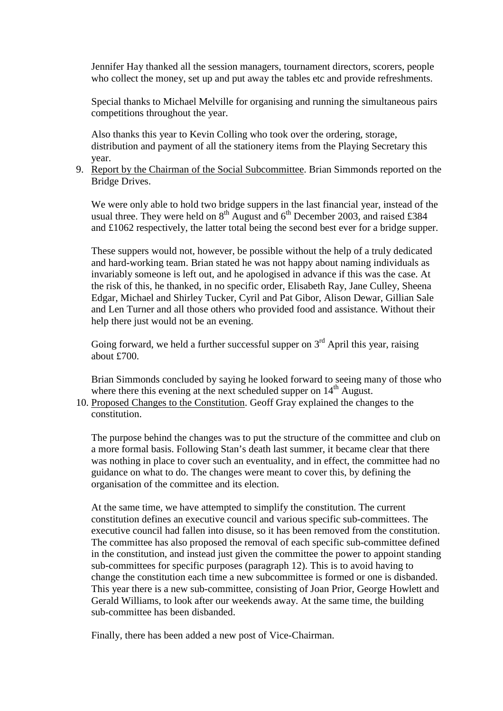Jennifer Hay thanked all the session managers, tournament directors, scorers, people who collect the money, set up and put away the tables etc and provide refreshments.

Special thanks to Michael Melville for organising and running the simultaneous pairs competitions throughout the year.

Also thanks this year to Kevin Colling who took over the ordering, storage, distribution and payment of all the stationery items from the Playing Secretary this year.

9. Report by the Chairman of the Social Subcommittee. Brian Simmonds reported on the Bridge Drives.

We were only able to hold two bridge suppers in the last financial year, instead of the usual three. They were held on  $8^{th}$  August and  $6^{th}$  December 2003, and raised £384 and £1062 respectively, the latter total being the second best ever for a bridge supper.

These suppers would not, however, be possible without the help of a truly dedicated and hard-working team. Brian stated he was not happy about naming individuals as invariably someone is left out, and he apologised in advance if this was the case. At the risk of this, he thanked, in no specific order, Elisabeth Ray, Jane Culley, Sheena Edgar, Michael and Shirley Tucker, Cyril and Pat Gibor, Alison Dewar, Gillian Sale and Len Turner and all those others who provided food and assistance. Without their help there just would not be an evening.

Going forward, we held a further successful supper on  $3<sup>rd</sup>$  April this year, raising about £700.

Brian Simmonds concluded by saying he looked forward to seeing many of those who where there this evening at the next scheduled supper on  $14<sup>th</sup>$  August.

10. Proposed Changes to the Constitution. Geoff Gray explained the changes to the constitution.

The purpose behind the changes was to put the structure of the committee and club on a more formal basis. Following Stan's death last summer, it became clear that there was nothing in place to cover such an eventuality, and in effect, the committee had no guidance on what to do. The changes were meant to cover this, by defining the organisation of the committee and its election.

At the same time, we have attempted to simplify the constitution. The current constitution defines an executive council and various specific sub-committees. The executive council had fallen into disuse, so it has been removed from the constitution. The committee has also proposed the removal of each specific sub-committee defined in the constitution, and instead just given the committee the power to appoint standing sub-committees for specific purposes (paragraph 12). This is to avoid having to change the constitution each time a new subcommittee is formed or one is disbanded. This year there is a new sub-committee, consisting of Joan Prior, George Howlett and Gerald Williams, to look after our weekends away. At the same time, the building sub-committee has been disbanded.

Finally, there has been added a new post of Vice-Chairman.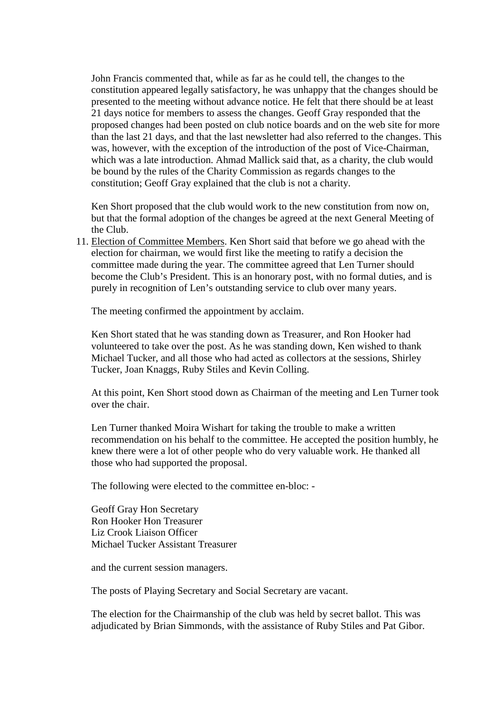John Francis commented that, while as far as he could tell, the changes to the constitution appeared legally satisfactory, he was unhappy that the changes should be presented to the meeting without advance notice. He felt that there should be at least 21 days notice for members to assess the changes. Geoff Gray responded that the proposed changes had been posted on club notice boards and on the web site for more than the last 21 days, and that the last newsletter had also referred to the changes. This was, however, with the exception of the introduction of the post of Vice-Chairman, which was a late introduction. Ahmad Mallick said that, as a charity, the club would be bound by the rules of the Charity Commission as regards changes to the constitution; Geoff Gray explained that the club is not a charity.

Ken Short proposed that the club would work to the new constitution from now on, but that the formal adoption of the changes be agreed at the next General Meeting of the Club.

11. Election of Committee Members. Ken Short said that before we go ahead with the election for chairman, we would first like the meeting to ratify a decision the committee made during the year. The committee agreed that Len Turner should become the Club's President. This is an honorary post, with no formal duties, and is purely in recognition of Len's outstanding service to club over many years.

The meeting confirmed the appointment by acclaim.

Ken Short stated that he was standing down as Treasurer, and Ron Hooker had volunteered to take over the post. As he was standing down, Ken wished to thank Michael Tucker, and all those who had acted as collectors at the sessions, Shirley Tucker, Joan Knaggs, Ruby Stiles and Kevin Colling.

At this point, Ken Short stood down as Chairman of the meeting and Len Turner took over the chair.

Len Turner thanked Moira Wishart for taking the trouble to make a written recommendation on his behalf to the committee. He accepted the position humbly, he knew there were a lot of other people who do very valuable work. He thanked all those who had supported the proposal.

The following were elected to the committee en-bloc: -

Geoff Gray Hon Secretary Ron Hooker Hon Treasurer Liz Crook Liaison Officer Michael Tucker Assistant Treasurer

and the current session managers.

The posts of Playing Secretary and Social Secretary are vacant.

The election for the Chairmanship of the club was held by secret ballot. This was adjudicated by Brian Simmonds, with the assistance of Ruby Stiles and Pat Gibor.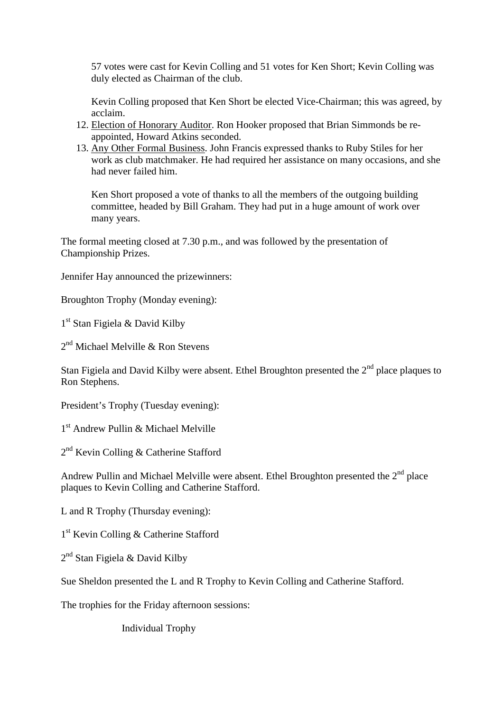57 votes were cast for Kevin Colling and 51 votes for Ken Short; Kevin Colling was duly elected as Chairman of the club.

Kevin Colling proposed that Ken Short be elected Vice-Chairman; this was agreed, by acclaim.

- 12. Election of Honorary Auditor. Ron Hooker proposed that Brian Simmonds be reappointed, Howard Atkins seconded.
- 13. Any Other Formal Business. John Francis expressed thanks to Ruby Stiles for her work as club matchmaker. He had required her assistance on many occasions, and she had never failed him.

Ken Short proposed a vote of thanks to all the members of the outgoing building committee, headed by Bill Graham. They had put in a huge amount of work over many years.

The formal meeting closed at 7.30 p.m., and was followed by the presentation of Championship Prizes.

Jennifer Hay announced the prizewinners:

Broughton Trophy (Monday evening):

1 st Stan Figiela & David Kilby

2<sup>nd</sup> Michael Melville & Ron Stevens

Stan Figiela and David Kilby were absent. Ethel Broughton presented the  $2<sup>nd</sup>$  place plaques to Ron Stephens.

President's Trophy (Tuesday evening):

1 st Andrew Pullin & Michael Melville

2<sup>nd</sup> Kevin Colling & Catherine Stafford

Andrew Pullin and Michael Melville were absent. Ethel Broughton presented the  $2<sup>nd</sup>$  place plaques to Kevin Colling and Catherine Stafford.

L and R Trophy (Thursday evening):

1 st Kevin Colling & Catherine Stafford

2<sup>nd</sup> Stan Figiela & David Kilby

Sue Sheldon presented the L and R Trophy to Kevin Colling and Catherine Stafford.

The trophies for the Friday afternoon sessions:

Individual Trophy